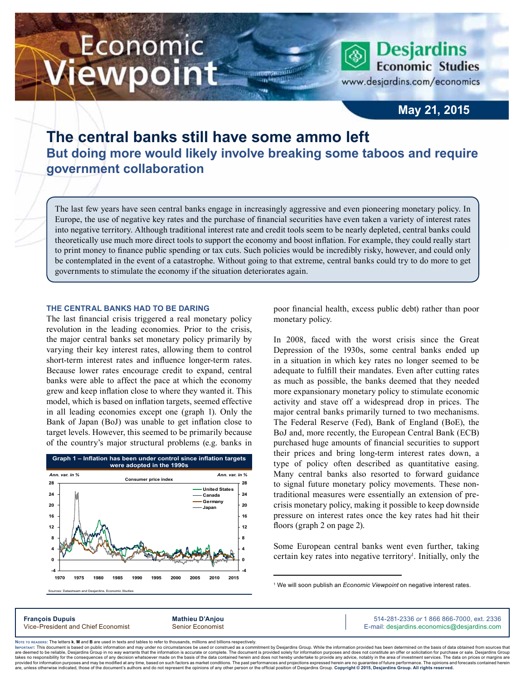# Economic iewpoint

**Desjardins Economic Studies** www.desjardins.com/economics

### **May 21, 2015**

## **The central banks still have some ammo left But doing more would likely involve breaking some taboos and require government collaboration**

m

The last few years have seen central banks engage in increasingly aggressive and even pioneering monetary policy. In Europe, the use of negative key rates and the purchase of financial securities have even taken a variety of interest rates into negative territory. Although traditional interest rate and credit tools seem to be nearly depleted, central banks could theoretically use much more direct tools to support the economy and boost inflation. For example, they could really start to print money to finance public spending or tax cuts. Such policies would be incredibly risky, however, and could only be contemplated in the event of a catastrophe. Without going to that extreme, central banks could try to do more to get governments to stimulate the economy if the situation deteriorates again.

#### **The central banks had to be daring**

The last financial crisis triggered a real monetary policy revolution in the leading economies. Prior to the crisis, the major central banks set monetary policy primarily by varying their key interest rates, allowing them to control short-term interest rates and influence longer-term rates. Because lower rates encourage credit to expand, central banks were able to affect the pace at which the economy grew and keep inflation close to where they wanted it. This model, which is based on inflation targets, seemed effective in all leading economies except one (graph 1). Only the Bank of Japan (BoJ) was unable to get inflation close to target levels. However, this seemed to be primarily because of the country's major structural problems (e.g. banks in



poor financial health, excess public debt) rather than poor monetary policy.

In 2008, faced with the worst crisis since the Great Depression of the 1930s, some central banks ended up in a situation in which key rates no longer seemed to be adequate to fulfill their mandates. Even after cutting rates as much as possible, the banks deemed that they needed more expansionary monetary policy to stimulate economic activity and stave off a widespread drop in prices. The major central banks primarily turned to two mechanisms. The Federal Reserve (Fed), Bank of England (BoE), the BoJ and, more recently, the European Central Bank (ECB) purchased huge amounts of financial securities to support their prices and bring long-term interest rates down, a type of policy often described as quantitative easing. Many central banks also resorted to forward guidance to signal future monetary policy movements. These nontraditional measures were essentially an extension of precrisis monetary policy, making it possible to keep downside pressure on interest rates once the key rates had hit their floors (graph 2 on page 2).

Some European central banks went even further, taking certain key rates into negative territory<sup>1</sup>. Initially, only the

**François Dupuis Mathieu D'Anjou** 514-281-2336 *or* 1 866 866-7000, ext. 2336 Vice-President and Chief Economist Senior Economist Senior Economist E-mail: desjardins.economics@desjardins.com

Noте то келоекs: The letters **k, M** and **B** are used in texts and tables to refer to thousands, millions and billions respectively.<br>Імроктлит: This document is based on public information and may under no circumstances be are deemed to be reliable. Desiardins Group in no way warrants that the information is accurate or complete. The document is provided solely for information purposes and does not constitute an offer or solicitation for pur takes no responsibility for the consequences of any decision whatsoever made on the basis of the data contained herein and does not hereby undertake to provide any advice, notably in the area of investment services. The da .<br>are, unless otherwise indicated, those of the document's authors and do not represent the opinions of any other person or the official position of Desjardins Group. Copyright © 2015, Desjardins Group. All rights reserve

<sup>&</sup>lt;sup>1</sup> We will soon publish an *Economic Viewpoint* on negative interest rates.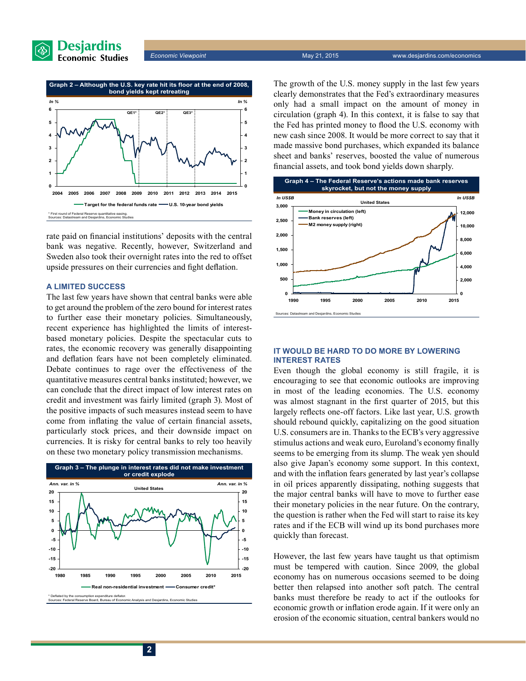

*Economic Viewpoint* May 21, 2015 www.desjardins.com/economics



rate paid on financial institutions' deposits with the central bank was negative. Recently, however, Switzerland and Sweden also took their overnight rates into the red to offset upside pressures on their currencies and fight deflation.

#### **A limited success**

The last few years have shown that central banks were able to get around the problem of the zero bound for interest rates to further ease their monetary policies. Simultaneously, recent experience has highlighted the limits of interestbased monetary policies. Despite the spectacular cuts to rates, the economic recovery was generally disappointing and deflation fears have not been completely eliminated. Debate continues to rage over the effectiveness of the quantitative measures central banks instituted; however, we can conclude that the direct impact of low interest rates on credit and investment was fairly limited (graph 3). Most of the positive impacts of such measures instead seem to have come from inflating the value of certain financial assets, particularly stock prices, and their downside impact on currencies. It is risky for central banks to rely too heavily on these two monetary policy transmission mechanisms.



The growth of the U.S. money supply in the last few years clearly demonstrates that the Fed's extraordinary measures only had a small impact on the amount of money in circulation (graph 4). In this context, it is false to say that the Fed has printed money to flood the U.S. economy with new cash since 2008. It would be more correct to say that it made massive bond purchases, which expanded its balance sheet and banks' reserves, boosted the value of numerous financial assets, and took bond yields down sharply.



#### **It would be hard to do more by lowering interest rates**

Even though the global economy is still fragile, it is encouraging to see that economic outlooks are improving in most of the leading economies. The U.S. economy was almost stagnant in the first quarter of 2015, but this largely reflects one-off factors. Like last year, U.S. growth should rebound quickly, capitalizing on the good situation U.S. consumers are in. Thanks to the ECB's very aggressive stimulus actions and weak euro, Euroland's economy finally seems to be emerging from its slump. The weak yen should also give Japan's economy some support. In this context, and with the inflation fears generated by last year's collapse in oil prices apparently dissipating, nothing suggests that the major central banks will have to move to further ease their monetary policies in the near future. On the contrary, the question is rather when the Fed will start to raise its key rates and if the ECB will wind up its bond purchases more quickly than forecast.

However, the last few years have taught us that optimism must be tempered with caution. Since 2009, the global economy has on numerous occasions seemed to be doing better then relapsed into another soft patch. The central banks must therefore be ready to act if the outlooks for economic growth or inflation erode again. If it were only an erosion of the economic situation, central bankers would no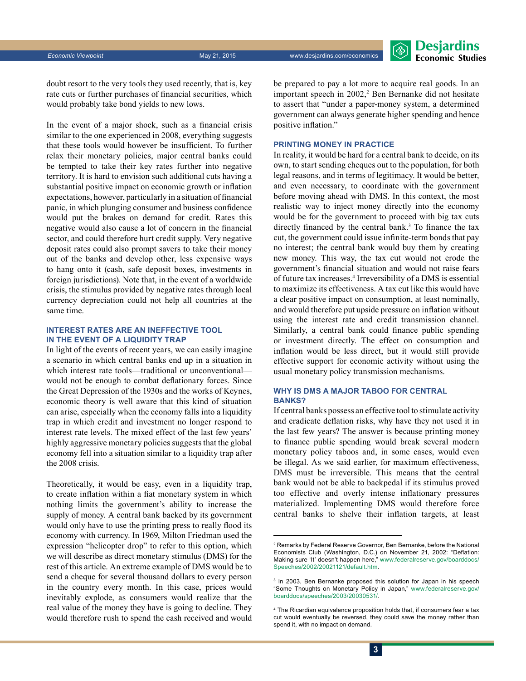*Economic Viewpoint* May 21, 2015 www.desjardins.com/economics



doubt resort to the very tools they used recently, that is, key rate cuts or further purchases of financial securities, which would probably take bond yields to new lows.

In the event of a major shock, such as a financial crisis similar to the one experienced in 2008, everything suggests that these tools would however be insufficient. To further relax their monetary policies, major central banks could be tempted to take their key rates further into negative territory. It is hard to envision such additional cuts having a substantial positive impact on economic growth or inflation expectations, however, particularly in a situation of financial panic, in which plunging consumer and business confidence would put the brakes on demand for credit. Rates this negative would also cause a lot of concern in the financial sector, and could therefore hurt credit supply. Very negative deposit rates could also prompt savers to take their money out of the banks and develop other, less expensive ways to hang onto it (cash, safe deposit boxes, investments in foreign jurisdictions). Note that, in the event of a worldwide crisis, the stimulus provided by negative rates through local currency depreciation could not help all countries at the same time.

#### **Interest rates are an ineffective tool in the event of a liquidity trap**

In light of the events of recent years, we can easily imagine a scenario in which central banks end up in a situation in which interest rate tools—traditional or unconventional would not be enough to combat deflationary forces. Since the Great Depression of the 1930s and the works of Keynes, economic theory is well aware that this kind of situation can arise, especially when the economy falls into a liquidity trap in which credit and investment no longer respond to interest rate levels. The mixed effect of the last few years' highly aggressive monetary policies suggests that the global economy fell into a situation similar to a liquidity trap after the 2008 crisis.

Theoretically, it would be easy, even in a liquidity trap, to create inflation within a fiat monetary system in which nothing limits the government's ability to increase the supply of money. A central bank backed by its government would only have to use the printing press to really flood its economy with currency. In 1969, Milton Friedman used the expression "helicopter drop" to refer to this option, which we will describe as direct monetary stimulus (DMS) for the rest of this article. An extreme example of DMS would be to send a cheque for several thousand dollars to every person in the country every month. In this case, prices would inevitably explode, as consumers would realize that the real value of the money they have is going to decline. They would therefore rush to spend the cash received and would be prepared to pay a lot more to acquire real goods. In an important speech in 2002,<sup>2</sup> Ben Bernanke did not hesitate to assert that "under a paper-money system, a determined government can always generate higher spending and hence positive inflation."

#### **Printing money in practice**

In reality, it would be hard for a central bank to decide, on its own, to start sending cheques out to the population, for both legal reasons, and in terms of legitimacy. It would be better, and even necessary, to coordinate with the government before moving ahead with DMS. In this context, the most realistic way to inject money directly into the economy would be for the government to proceed with big tax cuts directly financed by the central bank.<sup>3</sup> To finance the tax cut, the government could issue infinite-term bonds that pay no interest; the central bank would buy them by creating new money. This way, the tax cut would not erode the government's financial situation and would not raise fears of future tax increases.4 Irreversibility of a DMS is essential to maximize its effectiveness. A tax cut like this would have a clear positive impact on consumption, at least nominally, and would therefore put upside pressure on inflation without using the interest rate and credit transmission channel. Similarly, a central bank could finance public spending or investment directly. The effect on consumption and inflation would be less direct, but it would still provide effective support for economic activity without using the usual monetary policy transmission mechanisms.

#### **Why is DMS a major taboo for central banks?**

If central banks possess an effective tool to stimulate activity and eradicate deflation risks, why have they not used it in the last few years? The answer is because printing money to finance public spending would break several modern monetary policy taboos and, in some cases, would even be illegal. As we said earlier, for maximum effectiveness, DMS must be irreversible. This means that the central bank would not be able to backpedal if its stimulus proved too effective and overly intense inflationary pressures materialized. Implementing DMS would therefore force central banks to shelve their inflation targets, at least

<sup>2</sup> Remarks by Federal Reserve Governor, Ben Bernanke, before the National Economists Club (Washington, D.C.) on November 21, 2002: "Deflation: Making sure 'It' doesn't happen here," [www.federalreserve.gov/boarddocs/](http://www.federalreserve.gov/boarddocs/Speeches/2002/20021121/default.htm) [Speeches/2002/20021121/default.htm.](http://www.federalreserve.gov/boarddocs/Speeches/2002/20021121/default.htm)

<sup>&</sup>lt;sup>3</sup> In 2003, Ben Bernanke proposed this solution for Japan in his speech "Some Thoughts on Monetary Policy in Japan," [www.federalreserve.gov/](http://www.federalreserve.gov/boarddocs/speeches/2003/20030531/) [boarddocs/speeches/2003/20030531/.](http://www.federalreserve.gov/boarddocs/speeches/2003/20030531/)

<sup>4</sup> The Ricardian equivalence proposition holds that, if consumers fear a tax cut would eventually be reversed, they could save the money rather than spend it, with no impact on demand.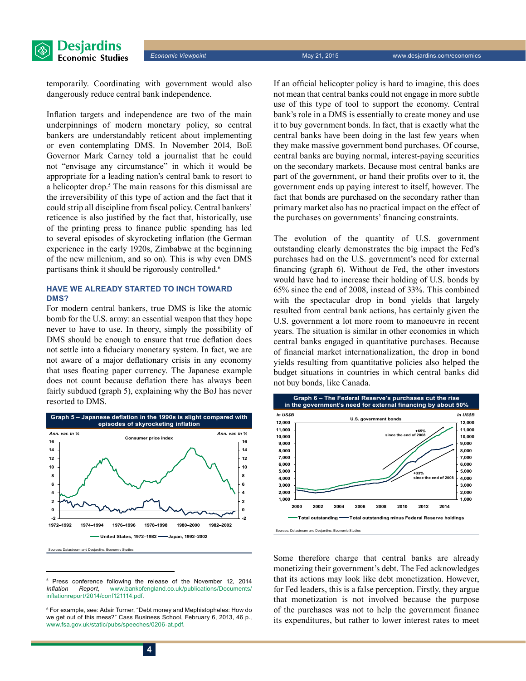

temporarily. Coordinating with government would also dangerously reduce central bank independence.

Inflation targets and independence are two of the main underpinnings of modern monetary policy, so central bankers are understandably reticent about implementing or even contemplating DMS. In November 2014, BoE Governor Mark Carney told a journalist that he could not "envisage any circumstance" in which it would be appropriate for a leading nation's central bank to resort to a helicopter drop.<sup>5</sup> The main reasons for this dismissal are the irreversibility of this type of action and the fact that it could strip all discipline from fiscal policy. Central bankers' reticence is also justified by the fact that, historically, use of the printing press to finance public spending has led to several episodes of skyrocketing inflation (the German experience in the early 1920s, Zimbabwe at the beginning of the new millenium, and so on). This is why even DMS partisans think it should be rigorously controlled.<sup>6</sup>

#### **Have we already started to inch toward DMS?**

For modern central bankers, true DMS is like the atomic bomb for the U.S. army: an essential weapon that they hope never to have to use. In theory, simply the possibility of DMS should be enough to ensure that true deflation does not settle into a fiduciary monetary system. In fact, we are not aware of a major deflationary crisis in any economy that uses floating paper currency. The Japanese example does not count because deflation there has always been fairly subdued (graph 5), explaining why the BoJ has never resorted to DMS.



<sup>5</sup> <sup>5</sup> Press conference following the release of the November 12, 2014<br>*Inflation Report.* www.bankofengland.co.uk/publications/Documents/ *Inflation Report*, [www.bankofengland.co.uk/publications/Documents/](http://www.bankofengland.co.uk/publications/Documents/inflationreport/2014/conf121114.pdf) [inflationreport/2014/conf121114.pdf](http://www.bankofengland.co.uk/publications/Documents/inflationreport/2014/conf121114.pdf).

If an official helicopter policy is hard to imagine, this does not mean that central banks could not engage in more subtle use of this type of tool to support the economy. Central bank's role in a DMS is essentially to create money and use it to buy government bonds. In fact, that is exactly what the central banks have been doing in the last few years when they make massive government bond purchases. Of course, central banks are buying normal, interest-paying securities on the secondary markets. Because most central banks are part of the government, or hand their profits over to it, the government ends up paying interest to itself, however. The fact that bonds are purchased on the secondary rather than primary market also has no practical impact on the effect of the purchases on governments' financing constraints.

The evolution of the quantity of U.S. government outstanding clearly demonstrates the big impact the Fed's purchases had on the U.S. government's need for external financing (graph 6). Without de Fed, the other investors would have had to increase their holding of U.S. bonds by 65% since the end of 2008, instead of 33%. This combined with the spectacular drop in bond yields that largely resulted from central bank actions, has certainly given the U.S. government a lot more room to manoeuvre in recent years. The situation is similar in other economies in which central banks engaged in quantitative purchases. Because of financial market internationalization, the drop in bond yields resulting from quantitative policies also helped the budget situations in countries in which central banks did not buy bonds, like Canada.



Some therefore charge that central banks are already monetizing their government's debt. The Fed acknowledges that its actions may look like debt monetization. However, for Fed leaders, this is a false perception. Firstly, they argue that monetization is not involved because the purpose of the purchases was not to help the government finance its expenditures, but rather to lower interest rates to meet

<sup>6</sup> For example, see: Adair Turner, "Debt money and Mephistopheles: How do we get out of this mess?" Cass Business School, February 6, 2013, 46 p., [www.fsa.gov.uk/static/pubs/speeches/0206-at.pdf](http://www.fsa.gov.uk/static/pubs/speeches/0206-at.pdf).